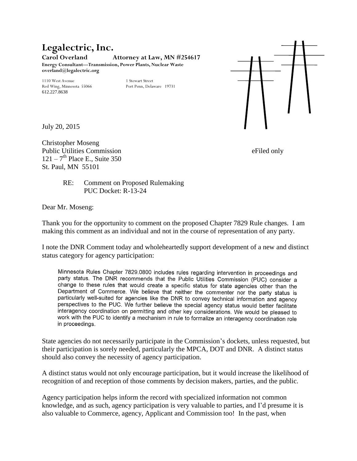## **Legalectric, Inc. Carol Overland Attorney at Law, MN #254617 Energy Consultant—Transmission, Power Plants, Nuclear Waste overland@legalectric.org**

Red Wing, Minnesota 55066 612.227.8638

1110 West Avenue<br>
1110 West Avenue<br>
19731 Port Penn, Delaware 19731



July 20, 2015

Christopher Moseng Public Utilities Commission eFiled only  $121 - 7$ <sup>th</sup> Place E., Suite 350 St. Paul, MN 55101

RE: Comment on Proposed Rulemaking PUC Docket: R-13-24

Dear Mr. Moseng:

Thank you for the opportunity to comment on the proposed Chapter 7829 Rule changes. I am making this comment as an individual and not in the course of representation of any party.

I note the DNR Comment today and wholeheartedly support development of a new and distinct status category for agency participation:

Minnesota Rules Chapter 7829.0800 includes rules regarding intervention in proceedings and party status. The DNR recommends that the Public Utilities Commission (PUC) consider a change to these rules that would create a specific status for state agencies other than the Department of Commerce. We believe that neither the commenter nor the party status is particularly well-suited for agencies like the DNR to convey technical information and agency perspectives to the PUC. We further believe the special agency status would better facilitate interagency coordination on permitting and other key considerations. We would be pleased to work with the PUC to identify a mechanism in rule to formalize an interagency coordination role in proceedings.

State agencies do not necessarily participate in the Commission's dockets, unless requested, but their participation is sorely needed, particularly the MPCA, DOT and DNR. A distinct status should also convey the necessity of agency participation.

A distinct status would not only encourage participation, but it would increase the likelihood of recognition of and reception of those comments by decision makers, parties, and the public.

Agency participation helps inform the record with specialized information not common knowledge, and as such, agency participation is very valuable to parties, and I'd presume it is also valuable to Commerce, agency, Applicant and Commission too! In the past, when